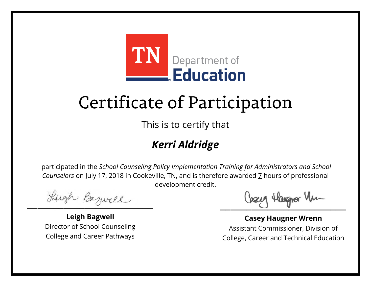

This is to certify that

#### *Kerri Aldridge*

Lugh Bazwell

**Leigh Bagwell** Director of School Counseling College and Career Pathways

Losey Hangra Vm

**Casey Haugner Wrenn** Assistant Commissioner, Division of College, Career and Technical Education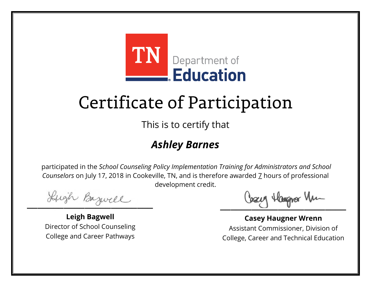

This is to certify that

#### *Ashley Barnes*

Lugh Bazwell

**Leigh Bagwell** Director of School Counseling College and Career Pathways

Losey Hangra Vm

**Casey Haugner Wrenn** Assistant Commissioner, Division of College, Career and Technical Education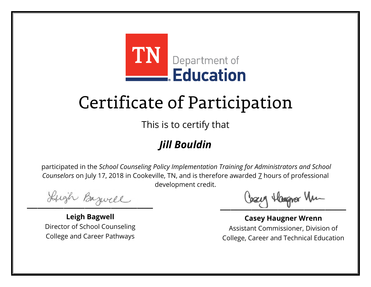

This is to certify that

#### *Jill Bouldin*

Lugh Bazwell

**Leigh Bagwell** Director of School Counseling College and Career Pathways

Losey Hangra Vm

**Casey Haugner Wrenn** Assistant Commissioner, Division of College, Career and Technical Education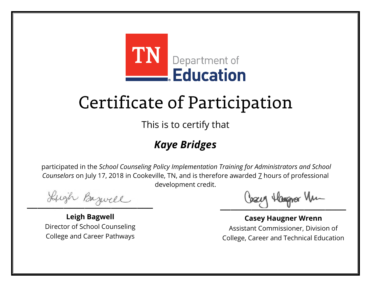

This is to certify that

#### *Kaye Bridges*

Lugh Bazwell

**Leigh Bagwell** Director of School Counseling College and Career Pathways

Losey Hangra Vm

**Casey Haugner Wrenn** Assistant Commissioner, Division of College, Career and Technical Education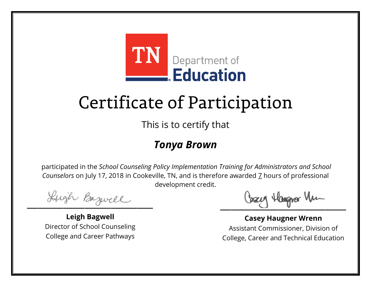

This is to certify that

#### *Tonya Brown*

Lugh Bazwell

**Leigh Bagwell** Director of School Counseling College and Career Pathways

Losey Hangra Vm

**Casey Haugner Wrenn** Assistant Commissioner, Division of College, Career and Technical Education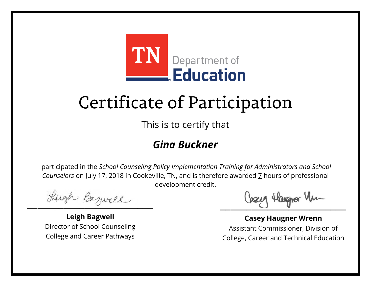

This is to certify that

#### *Gina Buckner*

Lugh Bazwell

**Leigh Bagwell** Director of School Counseling College and Career Pathways

Losey Hangra Vm

**Casey Haugner Wrenn** Assistant Commissioner, Division of College, Career and Technical Education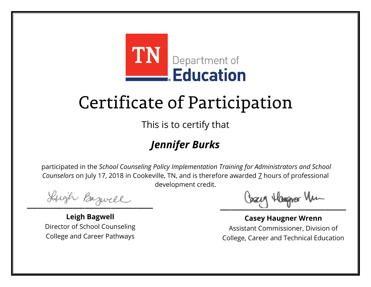

This is to certify that

#### *Jennifer Burks*

Lugh Bazwell

**Leigh Bagwell** Director of School Counseling College and Career Pathways

Losey Hangra Vm

**Casey Haugner Wrenn** Assistant Commissioner, Division of College, Career and Technical Education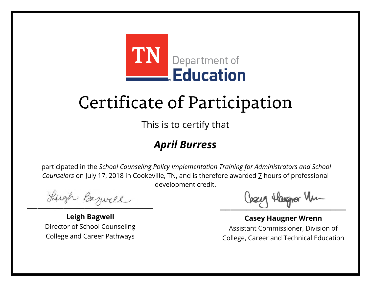

This is to certify that

#### *April Burress*

Lugh Bazwell

**Leigh Bagwell** Director of School Counseling College and Career Pathways

Losey Hangra Vm

**Casey Haugner Wrenn** Assistant Commissioner, Division of College, Career and Technical Education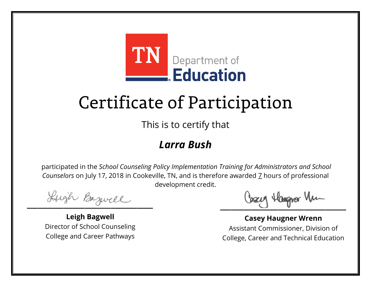

This is to certify that

#### *Larra Bush*

Lugh Bazwell

**Leigh Bagwell** Director of School Counseling College and Career Pathways

Losey Hangra Vm

**Casey Haugner Wrenn** Assistant Commissioner, Division of College, Career and Technical Education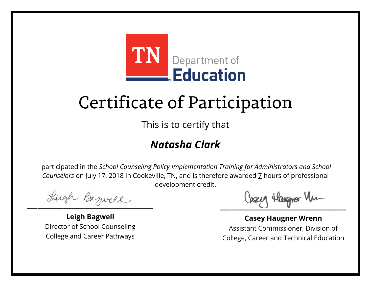

This is to certify that

#### *Natasha Clark*

Lugh Bazwell

**Leigh Bagwell** Director of School Counseling College and Career Pathways

Losey Hangra Vm

**Casey Haugner Wrenn** Assistant Commissioner, Division of College, Career and Technical Education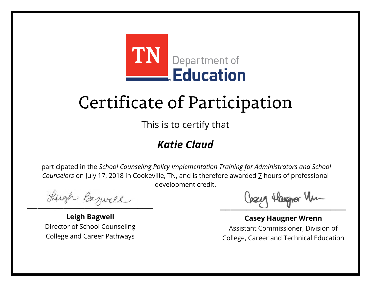

This is to certify that

#### *Katie Claud*

Lugh Bazwell

**Leigh Bagwell** Director of School Counseling College and Career Pathways

Losey Hangra Vm

**Casey Haugner Wrenn** Assistant Commissioner, Division of College, Career and Technical Education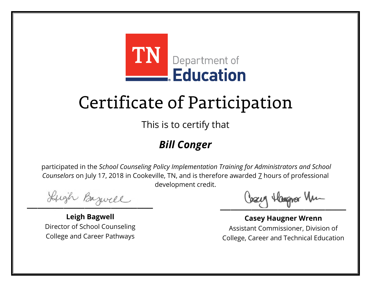

This is to certify that

#### *Bill Conger*

Lugh Bazwell

**Leigh Bagwell** Director of School Counseling College and Career Pathways

Losey Hangra Vm

**Casey Haugner Wrenn** Assistant Commissioner, Division of College, Career and Technical Education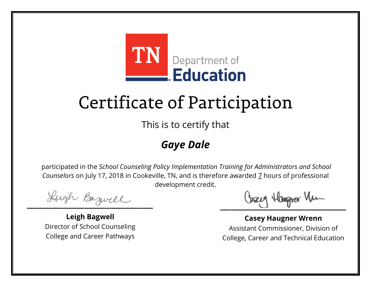

This is to certify that

#### *Gaye Dale*

Lugh Bazwell

**Leigh Bagwell** Director of School Counseling College and Career Pathways

Losey Hangra Vm

**Casey Haugner Wrenn** Assistant Commissioner, Division of College, Career and Technical Education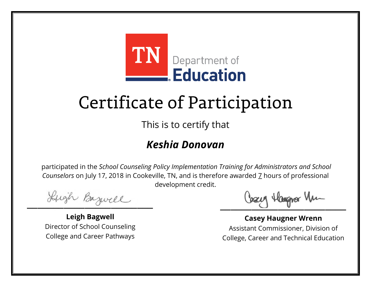

This is to certify that

#### *Keshia Donovan*

Lugh Bazwell

**Leigh Bagwell** Director of School Counseling College and Career Pathways

Losey Hangra Vm

**Casey Haugner Wrenn** Assistant Commissioner, Division of College, Career and Technical Education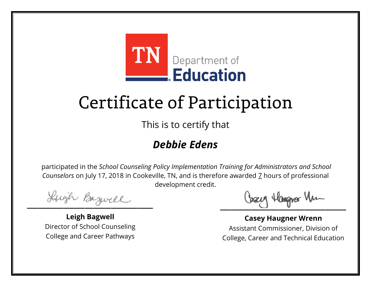

This is to certify that

#### *Debbie Edens*

Lugh Bazwell

**Leigh Bagwell** Director of School Counseling College and Career Pathways

Losey Hangra Vm

**Casey Haugner Wrenn** Assistant Commissioner, Division of College, Career and Technical Education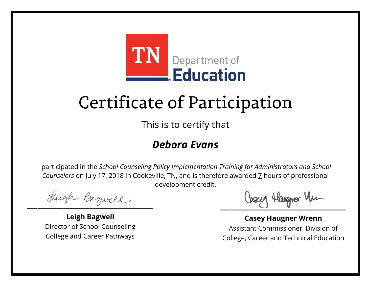

This is to certify that

#### *Debora Evans*

Lugh Bazwell

**Leigh Bagwell** Director of School Counseling College and Career Pathways

Losey Hangra Vm

**Casey Haugner Wrenn** Assistant Commissioner, Division of College, Career and Technical Education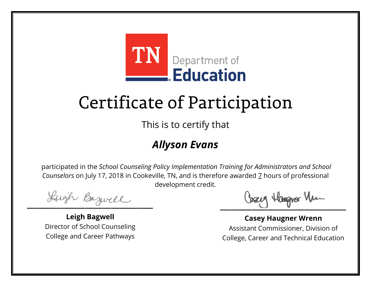

This is to certify that

#### *Allyson Evans*

Lugh Bazwell

**Leigh Bagwell** Director of School Counseling College and Career Pathways

Losey Hangra Vm

**Casey Haugner Wrenn** Assistant Commissioner, Division of College, Career and Technical Education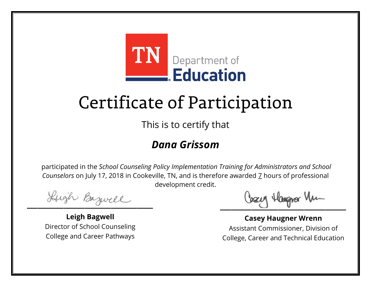

This is to certify that

#### *Dana Grissom*

Lugh Bazwell

**Leigh Bagwell** Director of School Counseling College and Career Pathways

Losey Hangra Vm

**Casey Haugner Wrenn** Assistant Commissioner, Division of College, Career and Technical Education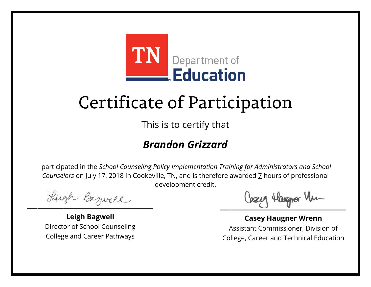

This is to certify that

#### *Brandon Grizzard*

Lugh Bazwell

**Leigh Bagwell** Director of School Counseling College and Career Pathways

Losey Hangra Vm

**Casey Haugner Wrenn** Assistant Commissioner, Division of College, Career and Technical Education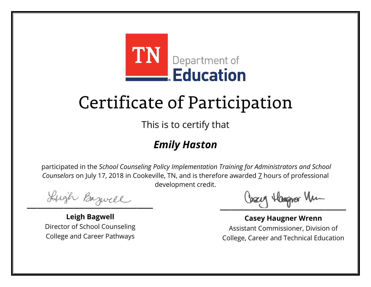

This is to certify that

#### *Emily Haston*

Lugh Bazwell

**Leigh Bagwell** Director of School Counseling College and Career Pathways

Losey Hangra Vm

**Casey Haugner Wrenn** Assistant Commissioner, Division of College, Career and Technical Education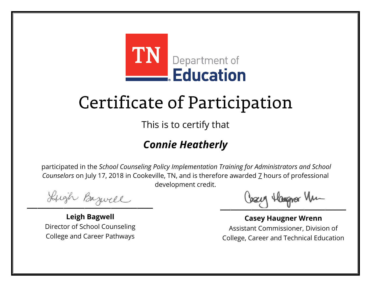

This is to certify that

#### *Connie Heatherly*

Lugh Bazwell

**Leigh Bagwell** Director of School Counseling College and Career Pathways

Cosey Hangra Vm

**Casey Haugner Wrenn** Assistant Commissioner, Division of College, Career and Technical Education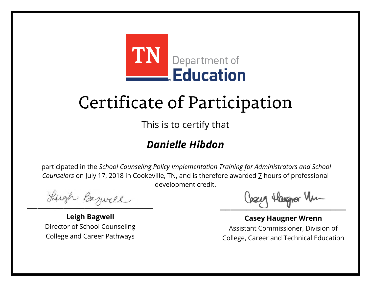

This is to certify that

#### *Danielle Hibdon*

Lugh Bazwell

**Leigh Bagwell** Director of School Counseling College and Career Pathways

Losey Hangra Vm

**Casey Haugner Wrenn** Assistant Commissioner, Division of College, Career and Technical Education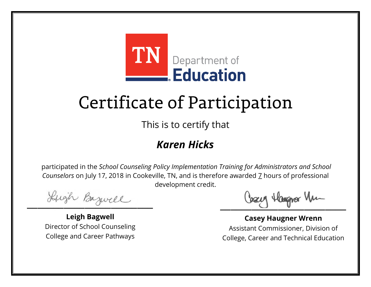

This is to certify that

#### *Karen Hicks*

Lugh Bazwell

**Leigh Bagwell** Director of School Counseling College and Career Pathways

Losey Hangra Vm

**Casey Haugner Wrenn** Assistant Commissioner, Division of College, Career and Technical Education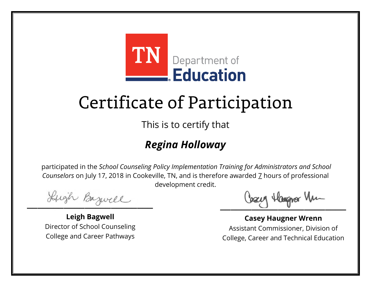

This is to certify that

#### *Regina Holloway*

Lugh Bazwell

**Leigh Bagwell** Director of School Counseling College and Career Pathways

Losey Hangra Vm

**Casey Haugner Wrenn** Assistant Commissioner, Division of College, Career and Technical Education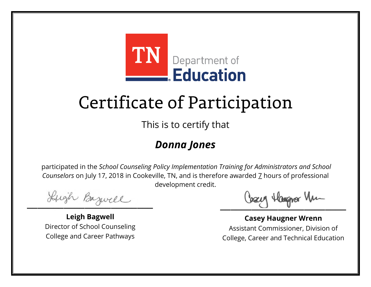

This is to certify that

#### *Donna Jones*

Lugh Bazwell

**Leigh Bagwell** Director of School Counseling College and Career Pathways

Losey Hangra Vm

**Casey Haugner Wrenn** Assistant Commissioner, Division of College, Career and Technical Education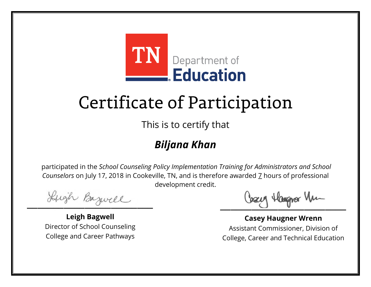

This is to certify that

#### *Biljana Khan*

Lugh Bazwell

**Leigh Bagwell** Director of School Counseling College and Career Pathways

Losey Hangra Vm

**Casey Haugner Wrenn** Assistant Commissioner, Division of College, Career and Technical Education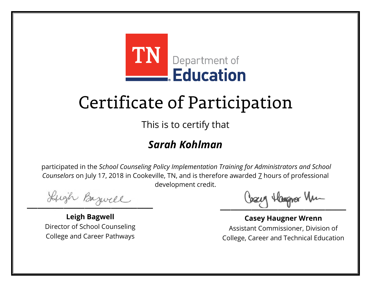

This is to certify that

#### *Sarah Kohlman*

Lugh Bazwell

**Leigh Bagwell** Director of School Counseling College and Career Pathways

Losey Hangra Vm

**Casey Haugner Wrenn** Assistant Commissioner, Division of College, Career and Technical Education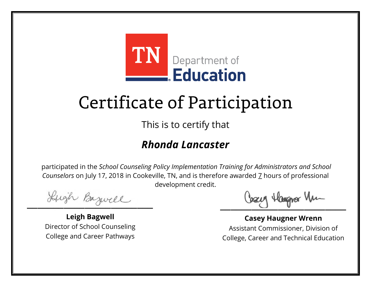

This is to certify that

#### *Rhonda Lancaster*

Lugh Bazwell

**Leigh Bagwell** Director of School Counseling College and Career Pathways

Cosey Hangra Vm

**Casey Haugner Wrenn** Assistant Commissioner, Division of College, Career and Technical Education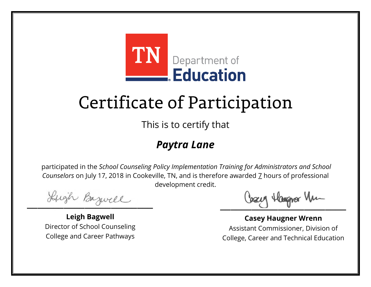

This is to certify that

#### *Paytra Lane*

Lugh Bazwell

**Leigh Bagwell** Director of School Counseling College and Career Pathways

Losey Hangra Vm

**Casey Haugner Wrenn** Assistant Commissioner, Division of College, Career and Technical Education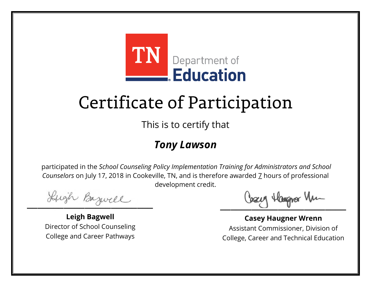

This is to certify that

#### *Tony Lawson*

Lugh Bazwell

**Leigh Bagwell** Director of School Counseling College and Career Pathways

Losey Hangra Vm

**Casey Haugner Wrenn** Assistant Commissioner, Division of College, Career and Technical Education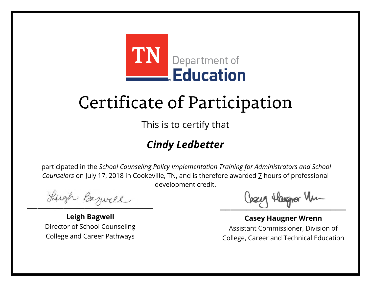

This is to certify that

#### *Cindy Ledbetter*

Lugh Bazwell

**Leigh Bagwell** Director of School Counseling College and Career Pathways

Losey Hangra Vm

**Casey Haugner Wrenn** Assistant Commissioner, Division of College, Career and Technical Education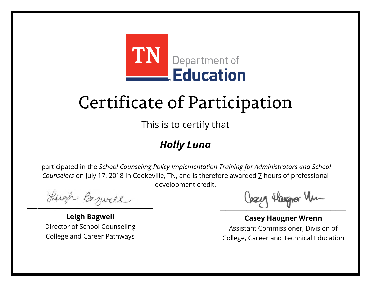

This is to certify that

#### *Holly Luna*

Lugh Bazwell

**Leigh Bagwell** Director of School Counseling College and Career Pathways

Losey Hangra Vm

**Casey Haugner Wrenn** Assistant Commissioner, Division of College, Career and Technical Education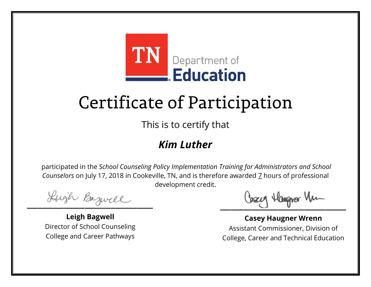

This is to certify that

#### *Kim Luther*

Lugh Bazwell

**Leigh Bagwell** Director of School Counseling College and Career Pathways

Losey Hangra Vm

**Casey Haugner Wrenn** Assistant Commissioner, Division of College, Career and Technical Education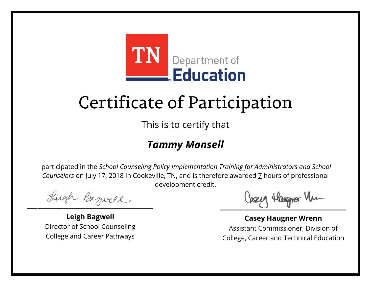

This is to certify that

#### *Tammy Mansell*

Lugh Bazwell

**Leigh Bagwell** Director of School Counseling College and Career Pathways

Losey Hangra Vm

**Casey Haugner Wrenn** Assistant Commissioner, Division of College, Career and Technical Education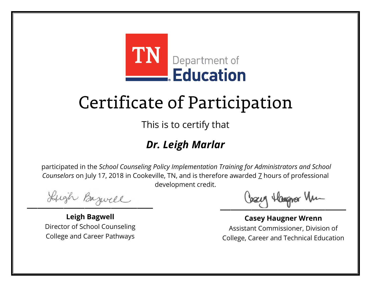

This is to certify that

#### *Dr. Leigh Marlar*

Lugh Bazwell

**Leigh Bagwell** Director of School Counseling College and Career Pathways

Losey Hangra Vm

**Casey Haugner Wrenn** Assistant Commissioner, Division of College, Career and Technical Education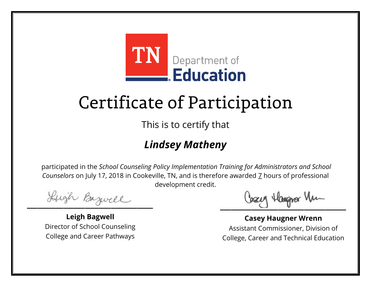

This is to certify that

#### *Lindsey Matheny*

Lugh Bazwell

**Leigh Bagwell** Director of School Counseling College and Career Pathways

Losey Hangra Vm

**Casey Haugner Wrenn** Assistant Commissioner, Division of College, Career and Technical Education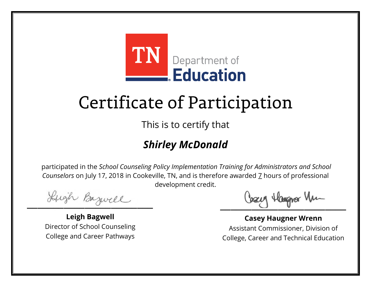

This is to certify that

#### *Shirley McDonald*

Lugh Bazwell

**Leigh Bagwell** Director of School Counseling College and Career Pathways

Losey Hangra Vm

**Casey Haugner Wrenn** Assistant Commissioner, Division of College, Career and Technical Education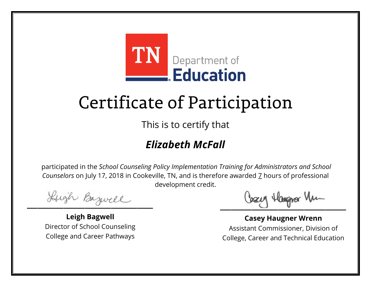

This is to certify that

#### *Elizabeth McFall*

Lugh Bazwell

**Leigh Bagwell** Director of School Counseling College and Career Pathways

Losey Hangra Vm

**Casey Haugner Wrenn** Assistant Commissioner, Division of College, Career and Technical Education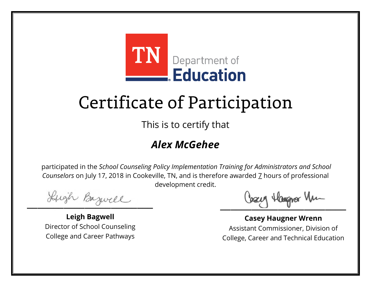

This is to certify that

#### *Alex McGehee*

Lugh Bazwell

**Leigh Bagwell** Director of School Counseling College and Career Pathways

Losey Hangra Vm

**Casey Haugner Wrenn** Assistant Commissioner, Division of College, Career and Technical Education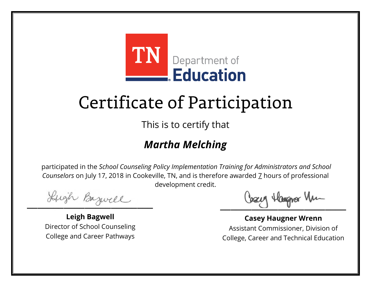

This is to certify that

#### *Martha Melching*

Lugh Bazwell

**Leigh Bagwell** Director of School Counseling College and Career Pathways

Losey Hangra Vm

**Casey Haugner Wrenn** Assistant Commissioner, Division of College, Career and Technical Education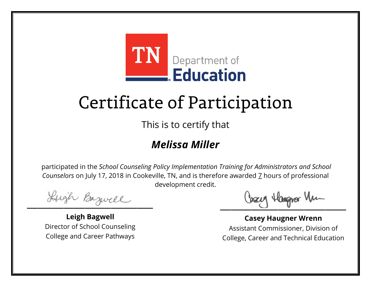

This is to certify that

#### *Melissa Miller*

Lugh Bazwell

**Leigh Bagwell** Director of School Counseling College and Career Pathways

Losey Hangra Vm

**Casey Haugner Wrenn** Assistant Commissioner, Division of College, Career and Technical Education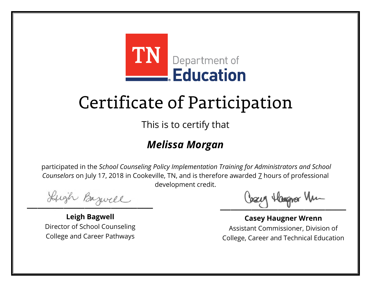

This is to certify that

#### *Melissa Morgan*

Lugh Bazwell

**Leigh Bagwell** Director of School Counseling College and Career Pathways

Losey Hangra Vm

**Casey Haugner Wrenn** Assistant Commissioner, Division of College, Career and Technical Education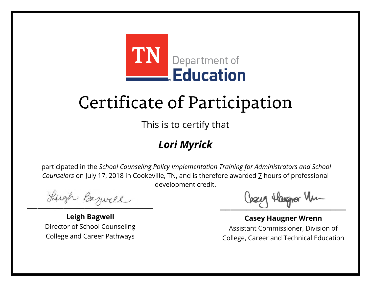

This is to certify that

#### *Lori Myrick*

Lugh Bazwell

**Leigh Bagwell** Director of School Counseling College and Career Pathways

Losey Hangra Vm

**Casey Haugner Wrenn** Assistant Commissioner, Division of College, Career and Technical Education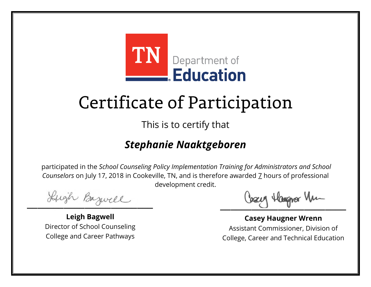

This is to certify that

#### *Stephanie Naaktgeboren*

Lugh Bazwell

**Leigh Bagwell** Director of School Counseling College and Career Pathways

Cosey Hangra Vm

**Casey Haugner Wrenn** Assistant Commissioner, Division of College, Career and Technical Education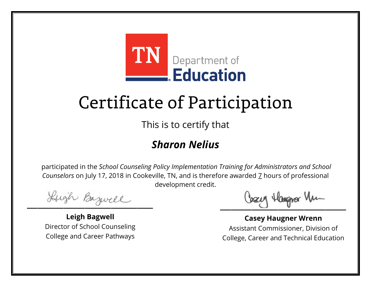

This is to certify that

#### *Sharon Nelius*

Lugh Bazwell

**Leigh Bagwell** Director of School Counseling College and Career Pathways

Losey Hangra Vm

**Casey Haugner Wrenn** Assistant Commissioner, Division of College, Career and Technical Education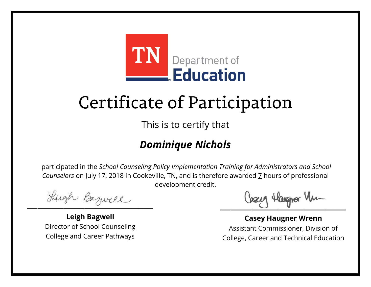

This is to certify that

#### *Dominique Nichols*

Lugh Bazwell

**Leigh Bagwell** Director of School Counseling College and Career Pathways

Losey Hangra Vm

**Casey Haugner Wrenn** Assistant Commissioner, Division of College, Career and Technical Education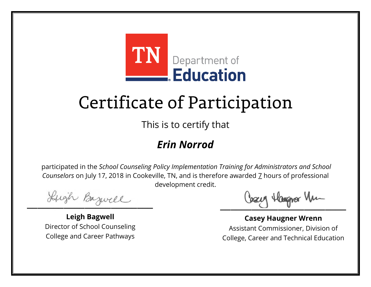

This is to certify that

#### *Erin Norrod*

Lugh Bazwell

**Leigh Bagwell** Director of School Counseling College and Career Pathways

Losey Hangra Vm

**Casey Haugner Wrenn** Assistant Commissioner, Division of College, Career and Technical Education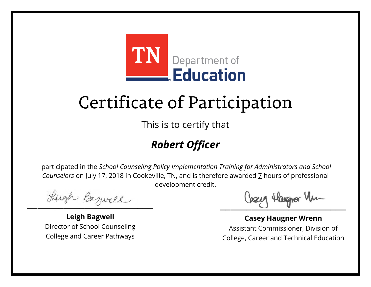

This is to certify that

#### *Robert Officer*

Lugh Bazwell

**Leigh Bagwell** Director of School Counseling College and Career Pathways

Losey Hangra Vm

**Casey Haugner Wrenn** Assistant Commissioner, Division of College, Career and Technical Education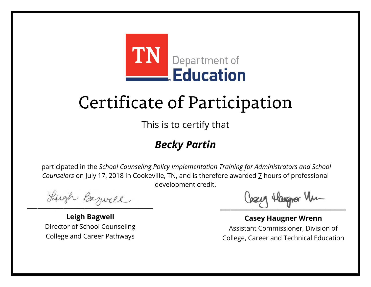

This is to certify that

#### *Becky Partin*

Lugh Bazwell

**Leigh Bagwell** Director of School Counseling College and Career Pathways

Losey Hangra Vm

**Casey Haugner Wrenn** Assistant Commissioner, Division of College, Career and Technical Education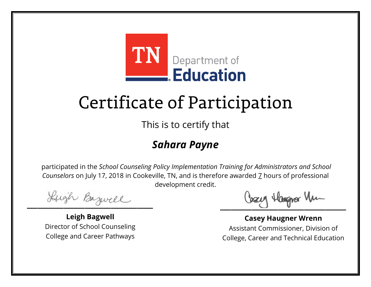

This is to certify that

#### *Sahara Payne*

Lugh Bazwell

**Leigh Bagwell** Director of School Counseling College and Career Pathways

Losey Hangra Vm

**Casey Haugner Wrenn** Assistant Commissioner, Division of College, Career and Technical Education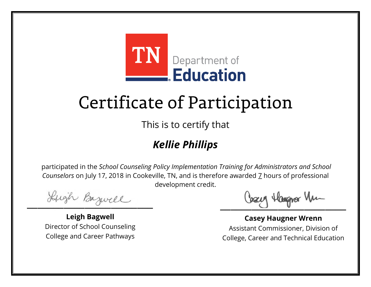

This is to certify that

#### *Kellie Phillips*

Lugh Bazwell

**Leigh Bagwell** Director of School Counseling College and Career Pathways

Losey Hangra Vm

**Casey Haugner Wrenn** Assistant Commissioner, Division of College, Career and Technical Education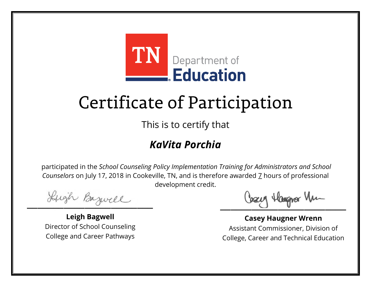

This is to certify that

#### *KaVita Porchia*

Lugh Bazwell

**Leigh Bagwell** Director of School Counseling College and Career Pathways

Losey Hangra Vm

**Casey Haugner Wrenn** Assistant Commissioner, Division of College, Career and Technical Education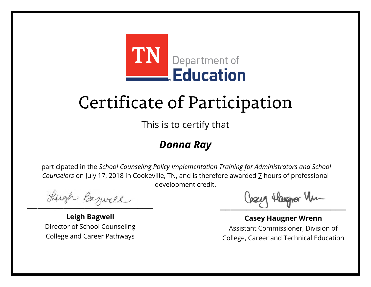

This is to certify that

#### *Donna Ray*

Lugh Bazwell

**Leigh Bagwell** Director of School Counseling College and Career Pathways

Losey Hangra Vm

**Casey Haugner Wrenn** Assistant Commissioner, Division of College, Career and Technical Education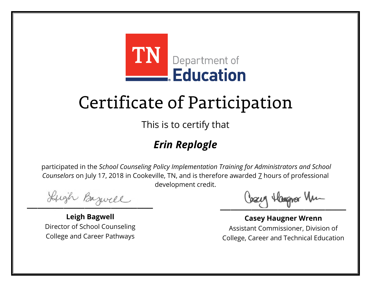

This is to certify that

#### *Erin Replogle*

Lugh Bazwell

**Leigh Bagwell** Director of School Counseling College and Career Pathways

Losey Hangra Vm

**Casey Haugner Wrenn** Assistant Commissioner, Division of College, Career and Technical Education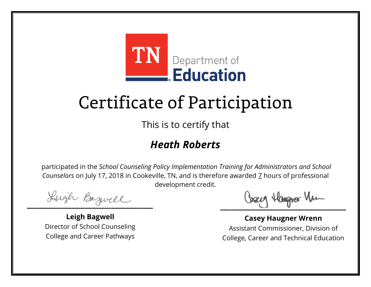

This is to certify that

#### *Heath Roberts*

Lugh Bazwell

**Leigh Bagwell** Director of School Counseling College and Career Pathways

Losey Hangra Vm

**Casey Haugner Wrenn** Assistant Commissioner, Division of College, Career and Technical Education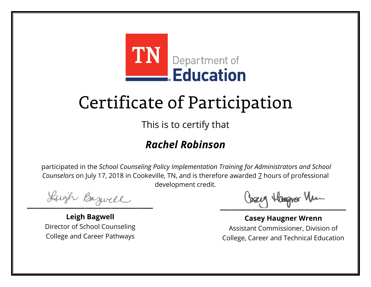

This is to certify that

#### *Rachel Robinson*

Lugh Bazwell

**Leigh Bagwell** Director of School Counseling College and Career Pathways

Losey Hangra Vm

**Casey Haugner Wrenn** Assistant Commissioner, Division of College, Career and Technical Education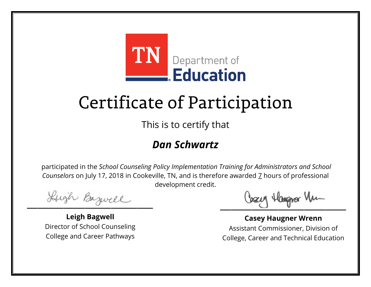

This is to certify that

#### *Dan Schwartz*

Lugh Bazwell

**Leigh Bagwell** Director of School Counseling College and Career Pathways

Losey Hangra Vm

**Casey Haugner Wrenn** Assistant Commissioner, Division of College, Career and Technical Education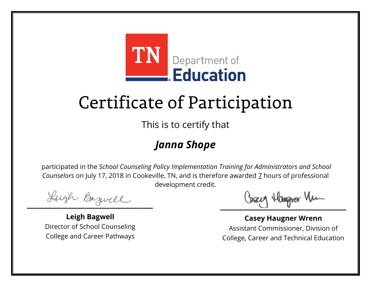

This is to certify that

#### *Janna Shope*

Lugh Bazwell

**Leigh Bagwell** Director of School Counseling College and Career Pathways

Losey Hangra Vm

**Casey Haugner Wrenn** Assistant Commissioner, Division of College, Career and Technical Education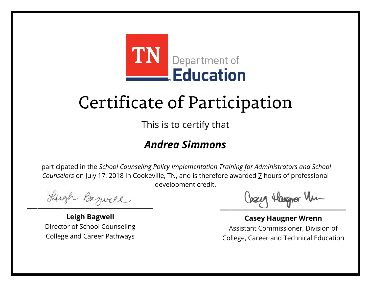

This is to certify that

#### *Andrea Simmons*

Lugh Bazwell

**Leigh Bagwell** Director of School Counseling College and Career Pathways

Losey Hangra Vm

**Casey Haugner Wrenn** Assistant Commissioner, Division of College, Career and Technical Education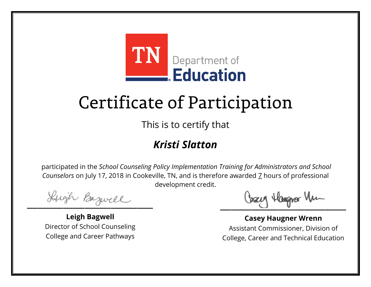

This is to certify that

#### *Kristi Slatton*

Lugh Bazwell

**Leigh Bagwell** Director of School Counseling College and Career Pathways

Losey Hangra Vm

**Casey Haugner Wrenn** Assistant Commissioner, Division of College, Career and Technical Education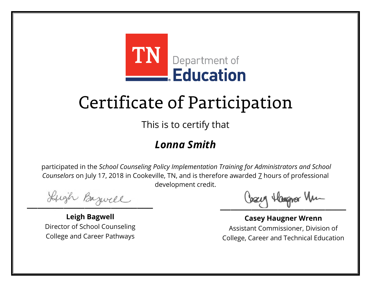

This is to certify that

#### *Lonna Smith*

Lugh Bazwell

**Leigh Bagwell** Director of School Counseling College and Career Pathways

Losey Hangra Vm

**Casey Haugner Wrenn** Assistant Commissioner, Division of College, Career and Technical Education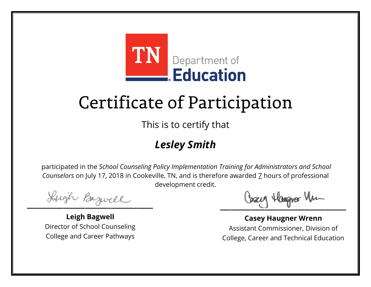

This is to certify that

#### *Lesley Smith*

Lugh Bazwell

**Leigh Bagwell** Director of School Counseling College and Career Pathways

Losey Hangra Vm

**Casey Haugner Wrenn** Assistant Commissioner, Division of College, Career and Technical Education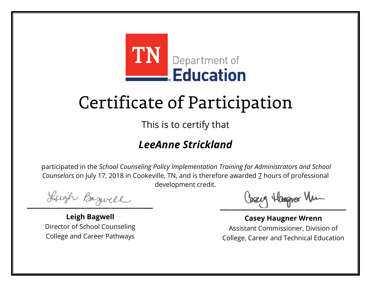

This is to certify that

#### *LeeAnne Strickland*

Lugh Bazwell

**Leigh Bagwell** Director of School Counseling College and Career Pathways

Cosey Hangra Vm

**Casey Haugner Wrenn** Assistant Commissioner, Division of College, Career and Technical Education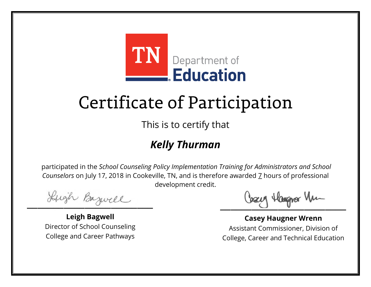

This is to certify that

#### *Kelly Thurman*

Lugh Bazwell

**Leigh Bagwell** Director of School Counseling College and Career Pathways

Losey Hangra Vm

**Casey Haugner Wrenn** Assistant Commissioner, Division of College, Career and Technical Education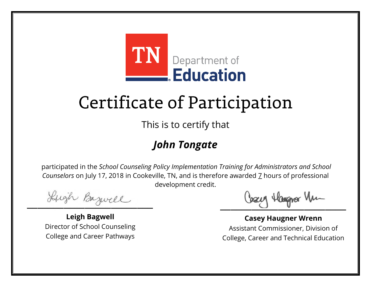

This is to certify that

#### *John Tongate*

Lugh Bazwell

**Leigh Bagwell** Director of School Counseling College and Career Pathways

Losey Hangra Vm

**Casey Haugner Wrenn** Assistant Commissioner, Division of College, Career and Technical Education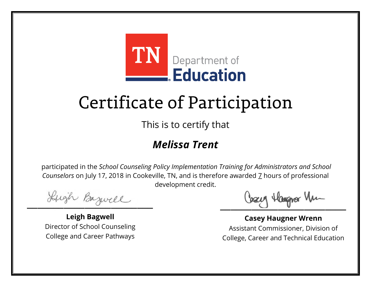

This is to certify that

#### *Melissa Trent*

Lugh Bazwell

**Leigh Bagwell** Director of School Counseling College and Career Pathways

Losey Hangra Vm

**Casey Haugner Wrenn** Assistant Commissioner, Division of College, Career and Technical Education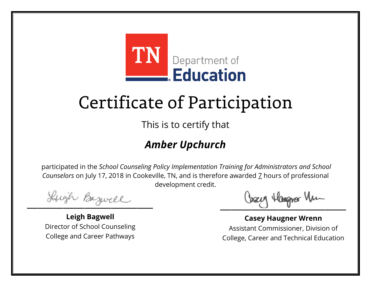

This is to certify that

#### *Amber Upchurch*

Lugh Bazwell

**Leigh Bagwell** Director of School Counseling College and Career Pathways

Losey Hangra Vm

**Casey Haugner Wrenn** Assistant Commissioner, Division of College, Career and Technical Education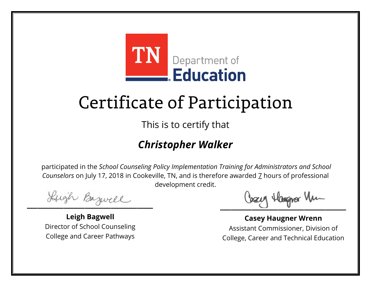

This is to certify that

#### *Christopher Walker*

Lugh Bazwell

**Leigh Bagwell** Director of School Counseling College and Career Pathways

Losey Hangra Vm

**Casey Haugner Wrenn** Assistant Commissioner, Division of College, Career and Technical Education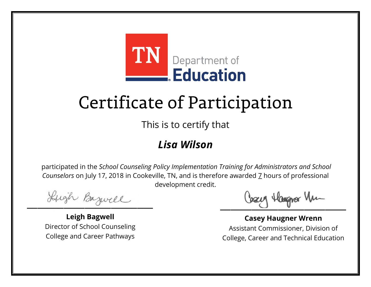

This is to certify that

#### *Lisa Wilson*

Lugh Bazwell

**Leigh Bagwell** Director of School Counseling College and Career Pathways

Losey Hangra Vm

**Casey Haugner Wrenn** Assistant Commissioner, Division of College, Career and Technical Education